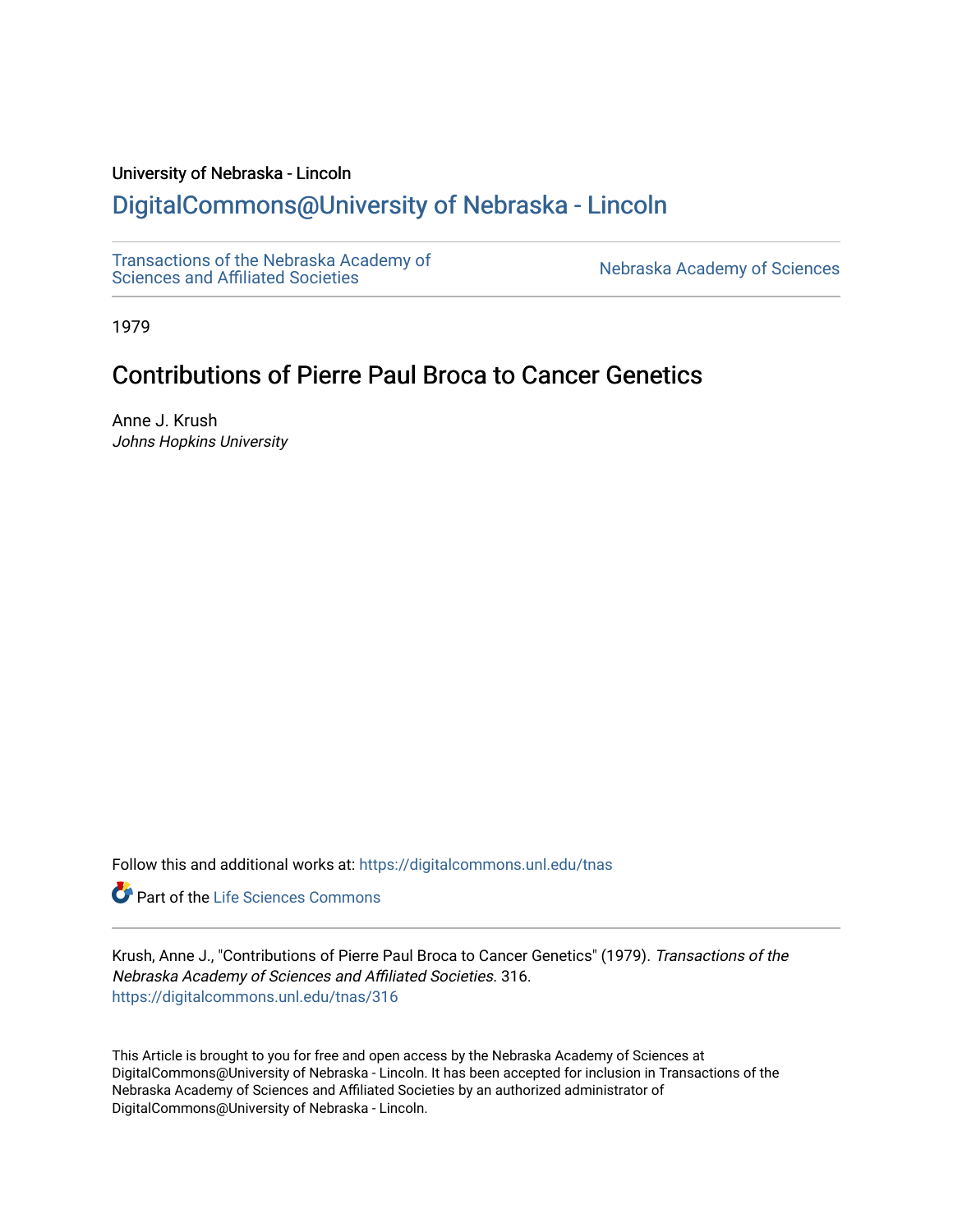# University of Nebraska - Lincoln

# [DigitalCommons@University of Nebraska - Lincoln](https://digitalcommons.unl.edu/)

[Transactions of the Nebraska Academy of](https://digitalcommons.unl.edu/tnas)  Transactions of the Nebraska Academy of Sciences<br>Sciences and Affiliated Societies

1979

# Contributions of Pierre Paul Broca to Cancer Genetics

Anne J. Krush Johns Hopkins University

Follow this and additional works at: [https://digitalcommons.unl.edu/tnas](https://digitalcommons.unl.edu/tnas?utm_source=digitalcommons.unl.edu%2Ftnas%2F316&utm_medium=PDF&utm_campaign=PDFCoverPages) 

Part of the [Life Sciences Commons](http://network.bepress.com/hgg/discipline/1016?utm_source=digitalcommons.unl.edu%2Ftnas%2F316&utm_medium=PDF&utm_campaign=PDFCoverPages) 

Krush, Anne J., "Contributions of Pierre Paul Broca to Cancer Genetics" (1979). Transactions of the Nebraska Academy of Sciences and Affiliated Societies. 316. [https://digitalcommons.unl.edu/tnas/316](https://digitalcommons.unl.edu/tnas/316?utm_source=digitalcommons.unl.edu%2Ftnas%2F316&utm_medium=PDF&utm_campaign=PDFCoverPages) 

This Article is brought to you for free and open access by the Nebraska Academy of Sciences at DigitalCommons@University of Nebraska - Lincoln. It has been accepted for inclusion in Transactions of the Nebraska Academy of Sciences and Affiliated Societies by an authorized administrator of DigitalCommons@University of Nebraska - Lincoln.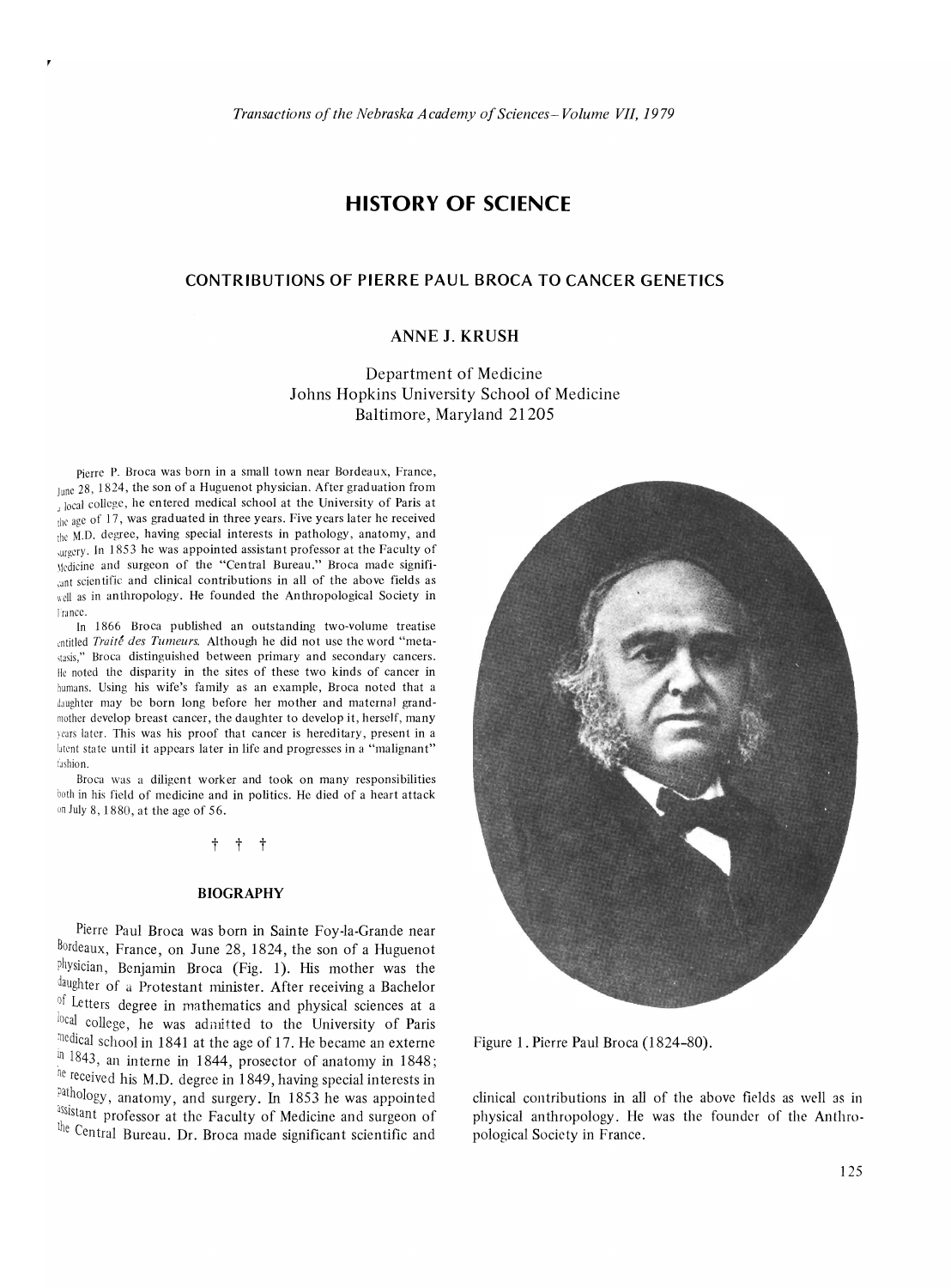# **HISTORY OF SCIENCE**

# **CONTRIBUTIONS OF PIERRE PAUL BROCA TO CANCER GENETICS**

# **ANNE J. KRUSH**

Department of Medicine Johns Hopkins University School of Medicine Baltimore, Maryland 21205

Pierre P. Broca was born in a small town near Bordeaux, France, June 28, 1824, the son of a Huguenot physician. After graduation from detal college, he entered medical school at the University of Paris at the age of 17, was graduated in three years. Five years later he received  $\lim_{h \to 0} M.D.$  degree, having special interests in pathology, anatomy, and ,urgcrv. In 1853 he was appointed assistant professor at the Faculty of \lcdicinc and surgeon of the "Central Bureau." Broca made signifi cant scientific and clinical contributions in all of the above fields as well as in anthropology. He founded the Anthropological Society in france.

In 1866 Broca published an outstanding two-volume treatise entitled *Traité des Tumeurs*. Although he did not use the word "metastasis," Broca distinguished between primary and secondary cancers. llc noted the disparity in the sites of these two kinds of cancer in humans. Using his wife's family as an example, Broca noted that a daughter may be born long before her mother and maternal grandmother develop breast cancer, the daughter to develop it, herself, many years later. This was his proof that cancer is hereditary, present in a latent state until it appears later in life and progresses in a "malignant" fashion.

Broca was a diligent worker and took on many responsibilities both in his field of medicine and in politics. He died of a heart attack on July 8, 1880, at the age of 56.

### t t t

#### **BIOGRAPHY**

Pierre Paul Broca was born in Sainte Foy-la-Grande near Bordeaux, France, on June 28, 1824, the son of a Huguenot physician, Benjamin Broca (Fig. 1). His mother was the daughter of a Protestant minister. After receiving a Bachelor of Letters degree in mathematics and physical sciences at a local college, he was admitted to the University of Paris 11Cdical school in 1841 at the age of 17. He became an externe  $\frac{\ln 1843}{\ln 1843}$ , an interne in 1844, prosector of anatomy in 1848; he received his M.D. degree in 1849, having special interests in pathology, anatomy, and surgery. In 1853 he was appointed assistant professor at the Faculty of Medicine and surgeon of the Central Bureau. Dr. Broca made significant scientific and



Figure 1. Pierre Paul Broca (1824-80).

clinical contributions in all of the above fields as well as in physical anthropology. He was the founder of the Anthropological Society in France.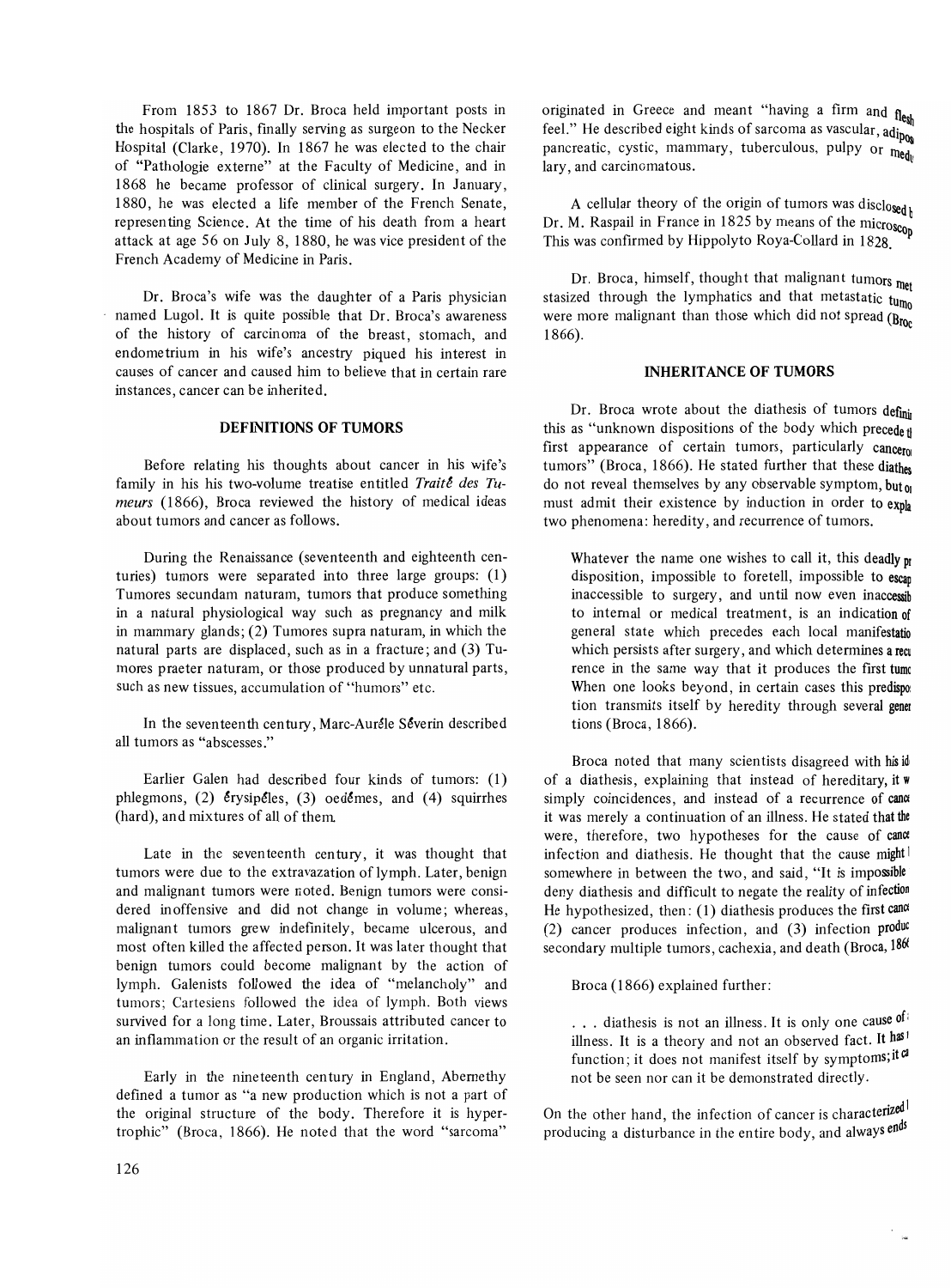From 1853 to 1867 Dr. Broca held important posts in the hospitals of Paris, finally serving as surgeon to the Necker Hospital (Clarke, 1970). In 1867 he was elected to the chair of "Pathologie externe" at the Faculty of Medicine, and in 1868 he became professor of clinical surgery. In January, 1880, he was elected a life member of the French Senate, representing Science. At the time of his death from a heart attack at age 56 on July 8, 1880, he was vice president of the French Academy of Medicine in Paris.

Dr. Broca's wife was the daughter of a Paris physician named Lugol. It is quite possible that Dr. Broca's awareness of the history of carcinoma of the breast, stomach, and endometrium in his wife's ancestry piqued his interest in causes of cancer and caused him to believe that in certain rare instances, cancer can be inherited.

# **DEFINITIONS OF TUMORS**

Before relating his thoughts about cancer in his wife's family in his his two-volume treatise entitled Traite des Tu*meurs* (1866), Broca reviewed the history of medical ideas about tumors and cancer as follows.

During the Renaissance (seventeenth and eighteenth centuries) tumors were separated into three large groups: (1) Tumores secundam naturam, tumors that produce something in a natural physiological way such as pregnancy and milk in mammary glands; (2) Tumores supra naturam, in which the natural parts are displaced, such as in a fracture; and (3) Tumores praeter naturam, or those produced by unnatural parts, such as new tissues, accumulation of "humors" etc.

In the seventeenth century, Marc-Auréle Séverin described all tumors as "abscesses."

Earlier Galen had described four kinds of tumors: (1) phlegmons,  $(2)$  erysipeles,  $(3)$  oedemes, and  $(4)$  squirrhes (hard), and mixtures of all of them.

Late in the seven teenth century, it was thought that tumors were due to the extravazation of lymph. Later, benign and malignant tumors were noted. Benign tumors were considered inoffensive and did not change in volume; whereas, malignant tumors grew indefinitely, became ulcerous, and most often killed the affected person. It was later thought that benign tumors could become malignant by the action of lymph. Galenists followed the idea of "melancholy" and tumors; Cartesiens followed the idea of lymph. Both views survived for a long time. Later, Broussais attributed cancer to an inflammation or the result of an organic irritation.

Early in the nineteenth century in England, Abernethy defined a tumor as "a new production which is not a part of the original structure of the body. Therefore it is hypertrophic" (Broca, 1866). He noted that the word "sarcoma"

originated in Greece and meant "having a firm and  $f_{\text{lesh}}$ Feel." He described eight kinds of sarcoma as vascular,  $\frac{d^{10}}{d^{10}}$ pancreatic, cystic, mammary, tuberculous, pulpy or  $\mathbf{m}_{\mathbf{e}_{\mathbf{d}}h}$ lary, and carcinomatous.

A cellular theory of the origin of tumors was disclosed Dr. M. Raspail in France in  $1825$  by means of the microscop This was confirmed by Hippolyto Roya-Collard in 1828.

Dr. Broca, himself, thought that malignant tumors met stasized through the lymphatics and that metastatic  $t_{U_{\text{mo}}}$ were more malignant than those which did not spread  $(B_{\text{foc}})$ 1866).

# **INHERITANCE OF TUMORS**

Dr. Broca wrote about the diathesis of tumors definit this as "unknown dispositions of the body which precede f first appearance of certain tumors, particularly cancerol tumors" (Broca, 1866). He stated further that these diathes do not reveal themselves by any observable symptom, but  $\omega$ must admit their existence by induction in order to expla two phenomena: heredity, and recurrence of tumors.

Whatever the name one wishes to call it, this deadly  $p_I$ disposition, impossible to foretell, impossible to escan inaccessible to surgery, and until now even inaccessib to internal or medical treatment, is an indication of general state which precedes each local manifestatio which persists after surgery, and which determines a recu rence in the same way that it produces the first tumc When one looks beyond, in certain cases this predispo: tion transmits itself by heredity through several gener tions (Broca, 1866).

Broca noted that many scientists disagreed with his id of a diathesis, explaining that instead of hereditary, it w simply coincidences, and instead of a recurrence of cana it was merely a continuation of an illness. He stated that the were, therefore, two hypotheses for the cause of cance infection and diathesis. He thought that the cause might somewhere in between the two, and said, "It is impossible deny diathesis and difficult to negate the reality of infection He hypothesized, then: (1) diathesis produces the first canoe (2) cancer produces infection, and  $(3)$  infection produc secondary multiple tumors, cachexia, and death (Broca, 1860)

Broca (1866) explained further:

... diathesis is not an illness. It is only one cause of illness. It is a theory and not an observed fact. It has<sup>1</sup> function; it does not manifest itself by symptoms; it can not be seen nor can it be demonstrated directly.

On the other hand, the infection of cancer is characterized producing a disturbance in the entire body, and always ends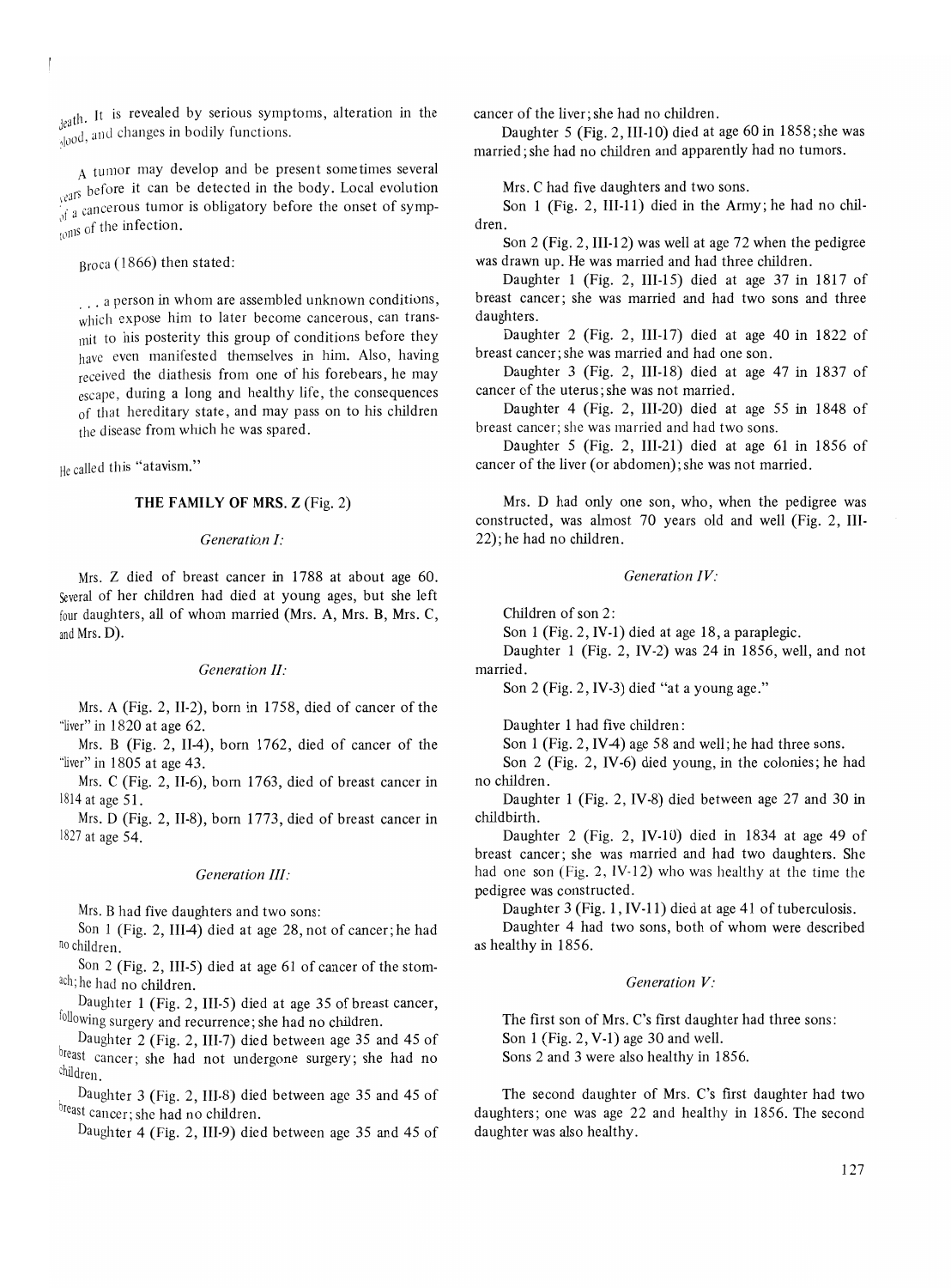$_{j$ eath. It is revealed by serious symptoms, alteration in the  $\frac{1}{2}$  and changes in bodily functions.

A tumor may develop and be present sometimes several <sub>vears</sub> before it can be detected in the body. Local evolution It a cancerous tumor is obligatory before the onset of symp-<br> $\frac{1}{10}$  of the infection.

Broca (1866) then stated:

... a person in whom are assembled unknown conditions, which expose him to later become cancerous, can transmit to his posterity this group of conditions before they have even manifested themselves in him. Also, having received the diathesis from one of his forebears, he may escape, during a long and healthy life, the consequences of that hereditary state, and may pass on to his children the disease from which he was spared.

He called this "atavism."

## THE FAMILY OF MRS. Z (Fig. 2)

#### *Generatian I:*

Mrs. Z died of breast cancer in 1788 at about age 60. Several of her children had died at young ages, but she left four daughters, all of whom married (Mrs. A, Mrs. B, Mrs. C, and Mrs. D).

#### *Generation II:*

Mrs. A (Fig. 2, II-2), born in 1758, died of cancer of the "liver" in 1820 at age 62.

Mrs. B (Fig. 2, II-4), born 1762, died of cancer of the "liver" in 1805 at age 43.

Mrs. C (Fig. 2, Il-6), born 1763, died of breast cancer in 1814 at age 51.

Mrs. D (Fig. 2, II-8), born 1773, died of breast cancer in 1827 at age 54.

#### *Generation III:*

Mrs. B had five daughters and two sons:

Son 1 (Fig. 2, III-4) died at age 28, not of cancer; he had no children.

Son 2 (Fig. 2, III-5) died at age 61 of cancer of the stomach; he had no children.

Daughter 1 (Fig. 2, III-5) died at age 35 of breast cancer, following surgery and recurrence; she had no children.

Daughter 2 (Fig. 2, 1II-7) died between age 35 and 45 of breast cancer; she had not undergone surgery; she had no Children.

Daughter 3 (Fig. 2, III-8) died between age 35 and 45 of breast cancer; she had no children.

Daughter 4 (Fig. 2, I1I-9) died between age 35 and 45 of

cancer of the liver; she had no children.

Daughter 5 (Fig. 2, III-10) died at age 60 in 1858; she was married; she had no children and apparently had no tumors.

Mrs. C had five daughters and two sons.

Son 1 (Fig. 2, III-11) died in the Army; he had no children.

Son 2 (Fig. 2, III-12) was well at age 72 when the pedigree was drawn up. He was married and had three children.

Daughter 1 (Fig. 2, III-IS) died at age 37 in 1817 of breast cancer; she was married and had two sons and three daughters.

Daughter  $2$  (Fig. 2, III-17) died at age 40 in 1822 of breast cancer; she was married and had one son.

Daughter 3 (Fig. 2, III-18) died at age 47 in 1837 of cancer of the uterus; she was not married.

Daughter 4 (Fig. 2, III-20) died at age 55 in 1848 of breast cancer; she was married and had two sons.

Daughter 5 (Fig. 2, III-21) died at age 61 in 1856 of cancer of the liver (or abdomen); she was not married.

Mrs. D had only one son, who, when the pedigree was constructed, was almost 70 years old and well (Fig. 2, III-22); he had no children.

#### *Generation IV:*

Children of son 2:

Son 1 (Fig. 2, IV-I) died at age 18, a paraplegic.

Daughter 1 (Fig. 2, IV-2) was 24 in 1856, well, and not married.

Son 2 (Fig. 2, IV-3) died "at a young age."

Daughter 1 had five children:

Son 1 (Fig. 2, IV-4) age 58 and well; he had three sons.

Son 2 (Fig. 2, IV -6) died young, in the colonies; he had no children.

Daughter 1 (Fig. 2, IV-8) died between age 27 and 30 in childbirth.

Daughter 2 (Fig. 2, IV-lO) died in 1834 at age 49 of breast cancer; she was married and had two daughters. She had one son (Fig. 2, IV-12) who was healthy at the time the pedigree was constructed.

Daughter 3 (Fig. 1, IV-11) died at age 41 of tuberculosis.

Daughter 4 had two sons, both of whom were described as healthy in 1856.

#### *Generation V:*

The first son of Mrs. C's first daughter had three sons: Son 1 (Fig. 2, V-I) age 30 and well. Sons 2 and 3 were also healthy in 1856.

The second daughter of Mrs. C's first daughter had two daughters; one was age 22 and healthy in 1856. The second daughter was also healthy.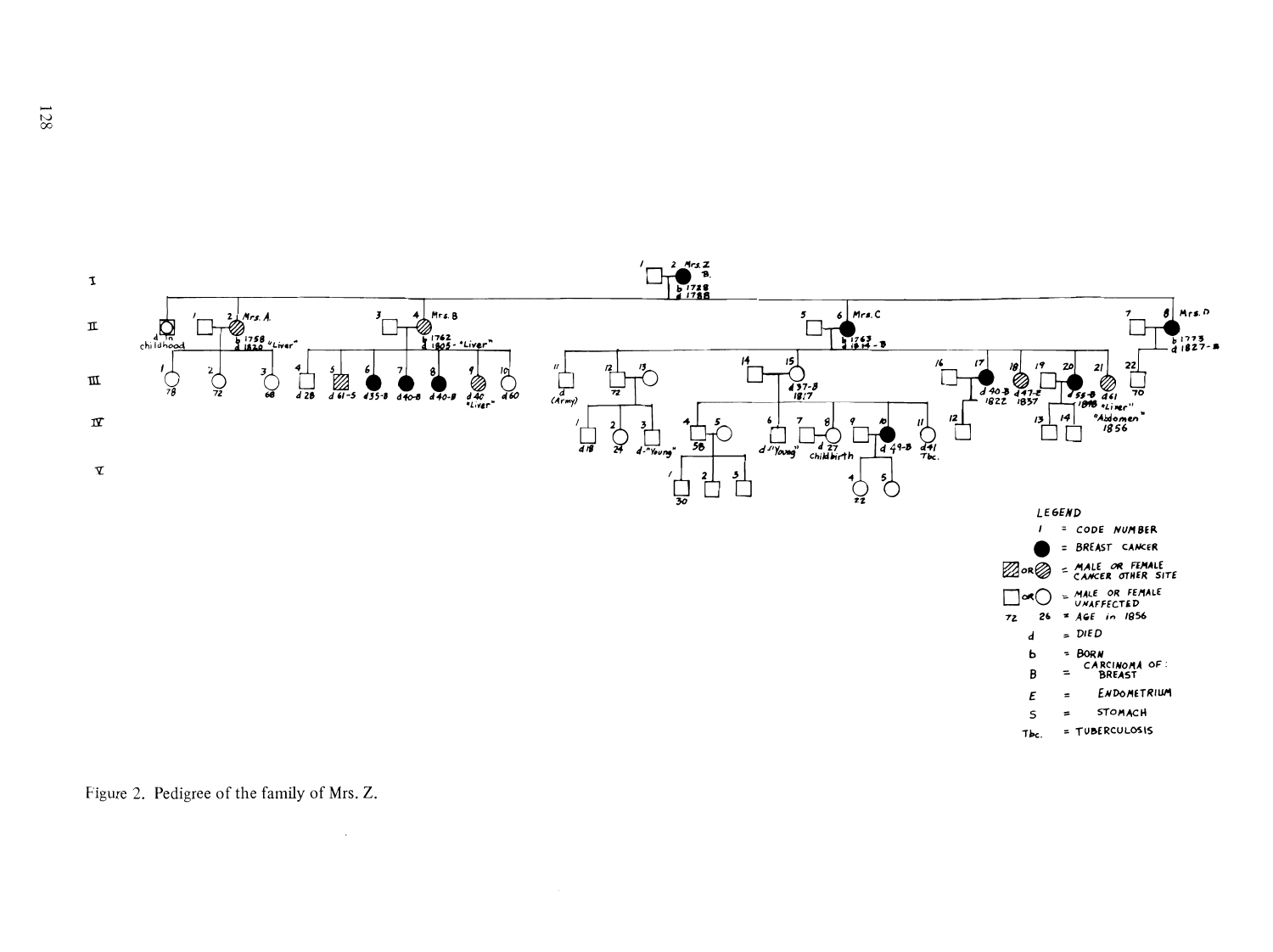

Figure 2. Pedigree of the family of Mrs. Z.

 $\bar{z}$